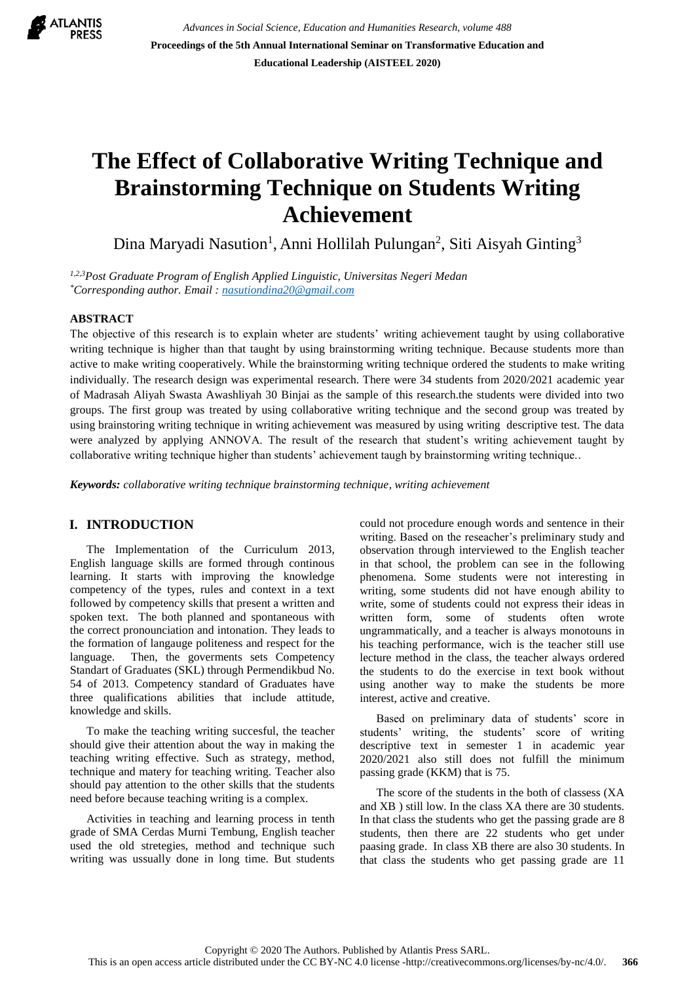

*Advances in Social Science, Education and Humanities Research, volume 488* **Proceedings of the 5th Annual International Seminar on Transformative Education and Educational Leadership (AISTEEL 2020)**

# **The Effect of Collaborative Writing Technique and Brainstorming Technique on Students Writing Achievement**

Dina Maryadi Nasution<sup>1</sup>, Anni Hollilah Pulungan<sup>2</sup>, Siti Aisyah Ginting<sup>3</sup>

*1,2,3Post Graduate Program of English Applied Linguistic, Universitas Negeri Medan \*Corresponding author. Email : [nasutiondina20@gmail.com](mailto:nasutiondina20@gmail.com)*

#### **ABSTRACT**

The objective of this research is to explain wheter are students' writing achievement taught by using collaborative writing technique is higher than that taught by using brainstorming writing technique. Because students more than active to make writing cooperatively. While the brainstorming writing technique ordered the students to make writing individually. The research design was experimental research. There were 34 students from 2020/2021 academic year of Madrasah Aliyah Swasta Awashliyah 30 Binjai as the sample of this research.the students were divided into two groups. The first group was treated by using collaborative writing technique and the second group was treated by using brainstoring writing technique in writing achievement was measured by using writing descriptive test. The data were analyzed by applying ANNOVA. The result of the research that student's writing achievement taught by collaborative writing technique higher than students' achievement taugh by brainstorming writing technique..

*Keywords: collaborative writing technique brainstorming technique, writing achievement*

## **I. INTRODUCTION**

The Implementation of the Curriculum 2013, English language skills are formed through continous learning. It starts with improving the knowledge competency of the types, rules and context in a text followed by competency skills that present a written and spoken text. The both planned and spontaneous with the correct pronounciation and intonation. They leads to the formation of langauge politeness and respect for the language. Then, the goverments sets Competency Standart of Graduates (SKL) through Permendikbud No. 54 of 2013. Competency standard of Graduates have three qualifications abilities that include attitude, knowledge and skills.

To make the teaching writing succesful, the teacher should give their attention about the way in making the teaching writing effective. Such as strategy, method, technique and matery for teaching writing. Teacher also should pay attention to the other skills that the students need before because teaching writing is a complex.

Activities in teaching and learning process in tenth grade of SMA Cerdas Murni Tembung, English teacher used the old stretegies, method and technique such writing was ussually done in long time. But students could not procedure enough words and sentence in their writing. Based on the reseacher's preliminary study and observation through interviewed to the English teacher in that school, the problem can see in the following phenomena. Some students were not interesting in writing, some students did not have enough ability to write, some of students could not express their ideas in written form, some of students often wrote ungrammatically, and a teacher is always monotouns in his teaching performance, wich is the teacher still use lecture method in the class, the teacher always ordered the students to do the exercise in text book without using another way to make the students be more interest, active and creative.

Based on preliminary data of students' score in students' writing, the students' score of writing descriptive text in semester 1 in academic year 2020/2021 also still does not fulfill the minimum passing grade (KKM) that is 75.

The score of the students in the both of classess (XA and XB ) still low. In the class XA there are 30 students. In that class the students who get the passing grade are 8 students, then there are 22 students who get under paasing grade. In class XB there are also 30 students. In that class the students who get passing grade are 11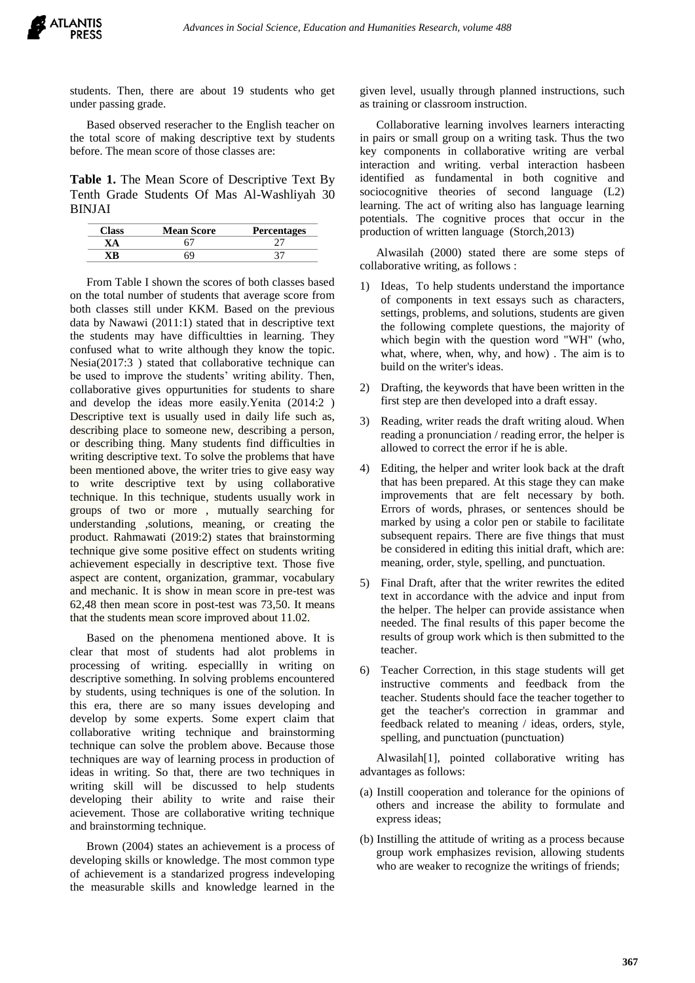students. Then, there are about 19 students who get under passing grade.

Based observed reseracher to the English teacher on the total score of making descriptive text by students before. The mean score of those classes are:

**Table 1.** The Mean Score of Descriptive Text By Tenth Grade Students Of Mas Al-Washliyah 30 BINJAI

| <b>Mean Score</b> | <b>Percentages</b> |
|-------------------|--------------------|
|                   |                    |
|                   |                    |

From Table I shown the scores of both classes based on the total number of students that average score from both classes still under KKM. Based on the previous data by Nawawi (2011:1) stated that in descriptive text the students may have difficultties in learning. They confused what to write although they know the topic. Nesia(2017:3 ) stated that collaborative technique can be used to improve the students' writing ability. Then, collaborative gives oppurtunities for students to share and develop the ideas more easily.Yenita (2014:2 ) Descriptive text is usually used in daily life such as, describing place to someone new, describing a person, or describing thing. Many students find difficulties in writing descriptive text. To solve the problems that have been mentioned above, the writer tries to give easy way to write descriptive text by using collaborative technique. In this technique, students usually work in groups of two or more , mutually searching for understanding ,solutions, meaning, or creating the product. Rahmawati (2019:2) states that brainstorming technique give some positive effect on students writing achievement especially in descriptive text. Those five aspect are content, organization, grammar, vocabulary and mechanic. It is show in mean score in pre-test was 62,48 then mean score in post-test was 73,50. It means that the students mean score improved about 11.02.

Based on the phenomena mentioned above. It is clear that most of students had alot problems in processing of writing. especiallly in writing on descriptive something. In solving problems encountered by students, using techniques is one of the solution. In this era, there are so many issues developing and develop by some experts. Some expert claim that collaborative writing technique and brainstorming technique can solve the problem above. Because those techniques are way of learning process in production of ideas in writing. So that, there are two techniques in writing skill will be discussed to help students developing their ability to write and raise their acievement. Those are collaborative writing technique and brainstorming technique.

Brown (2004) states an achievement is a process of developing skills or knowledge. The most common type of achievement is a standarized progress indeveloping the measurable skills and knowledge learned in the

given level, usually through planned instructions, such as training or classroom instruction.

Collaborative learning involves learners interacting in pairs or small group on a writing task. Thus the two key components in collaborative writing are verbal interaction and writing. verbal interaction hasbeen identified as fundamental in both cognitive and sociocognitive theories of second language (L2) learning. The act of writing also has language learning potentials. The cognitive proces that occur in the production of written language (Storch,2013)

Alwasilah (2000) stated there are some steps of collaborative writing, as follows :

- 1) Ideas, To help students understand the importance of components in text essays such as characters, settings, problems, and solutions, students are given the following complete questions, the majority of which begin with the question word "WH" (who, what, where, when, why, and how) . The aim is to build on the writer's ideas.
- 2) Drafting, the keywords that have been written in the first step are then developed into a draft essay.
- 3) Reading, writer reads the draft writing aloud. When reading a pronunciation / reading error, the helper is allowed to correct the error if he is able.
- 4) Editing, the helper and writer look back at the draft that has been prepared. At this stage they can make improvements that are felt necessary by both. Errors of words, phrases, or sentences should be marked by using a color pen or stabile to facilitate subsequent repairs. There are five things that must be considered in editing this initial draft, which are: meaning, order, style, spelling, and punctuation.
- 5) Final Draft, after that the writer rewrites the edited text in accordance with the advice and input from the helper. The helper can provide assistance when needed. The final results of this paper become the results of group work which is then submitted to the teacher.
- 6) Teacher Correction, in this stage students will get instructive comments and feedback from the teacher. Students should face the teacher together to get the teacher's correction in grammar and feedback related to meaning / ideas, orders, style, spelling, and punctuation (punctuation)

Alwasilah[1], pointed collaborative writing has advantages as follows:

- (a) Instill cooperation and tolerance for the opinions of others and increase the ability to formulate and express ideas;
- (b) Instilling the attitude of writing as a process because group work emphasizes revision, allowing students who are weaker to recognize the writings of friends;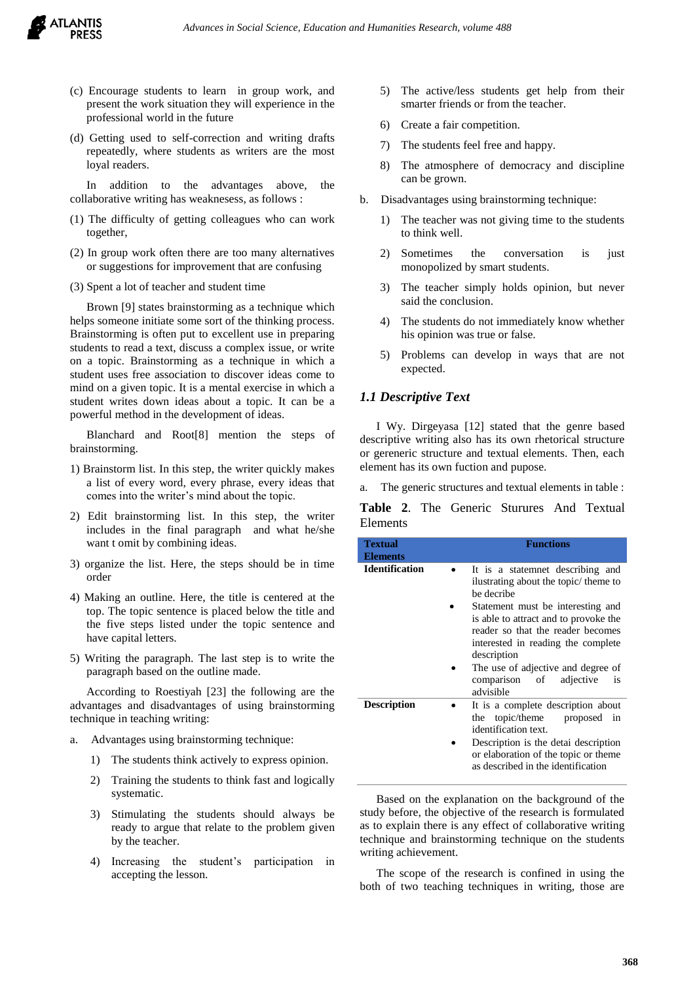- (c) Encourage students to learn in group work, and present the work situation they will experience in the professional world in the future
- (d) Getting used to self-correction and writing drafts repeatedly, where students as writers are the most loyal readers.

In addition to the advantages above, the collaborative writing has weaknesess, as follows :

- (1) The difficulty of getting colleagues who can work together,
- (2) In group work often there are too many alternatives or suggestions for improvement that are confusing
- (3) Spent a lot of teacher and student time

Brown [9] states brainstorming as a technique which helps someone initiate some sort of the thinking process. Brainstorming is often put to excellent use in preparing students to read a text, discuss a complex issue, or write on a topic. Brainstorming as a technique in which a student uses free association to discover ideas come to mind on a given topic. It is a mental exercise in which a student writes down ideas about a topic. It can be a powerful method in the development of ideas.

Blanchard and Root[8] mention the steps of brainstorming.

- 1) Brainstorm list. In this step, the writer quickly makes a list of every word, every phrase, every ideas that comes into the writer's mind about the topic.
- 2) Edit brainstorming list. In this step, the writer includes in the final paragraph and what he/she want t omit by combining ideas.
- 3) organize the list. Here, the steps should be in time order
- 4) Making an outline. Here, the title is centered at the top. The topic sentence is placed below the title and the five steps listed under the topic sentence and have capital letters.
- 5) Writing the paragraph. The last step is to write the paragraph based on the outline made.

According to Roestiyah [23] the following are the advantages and disadvantages of using brainstorming technique in teaching writing:

- a. Advantages using brainstorming technique:
	- 1) The students think actively to express opinion.
	- 2) Training the students to think fast and logically systematic.
	- 3) Stimulating the students should always be ready to argue that relate to the problem given by the teacher.
	- 4) Increasing the student's participation in accepting the lesson.
- 5) The active/less students get help from their smarter friends or from the teacher.
- 6) Create a fair competition.
- 7) The students feel free and happy.
- 8) The atmosphere of democracy and discipline can be grown.
- b. Disadvantages using brainstorming technique:
	- 1) The teacher was not giving time to the students to think well.
	- 2) Sometimes the conversation is just monopolized by smart students.
	- 3) The teacher simply holds opinion, but never said the conclusion.
	- 4) The students do not immediately know whether his opinion was true or false.
	- 5) Problems can develop in ways that are not expected.

#### *1.1 Descriptive Text*

I Wy. Dirgeyasa [12] stated that the genre based descriptive writing also has its own rhetorical structure or gereneric structure and textual elements. Then, each element has its own fuction and pupose.

The generic structures and textual elements in table :

**Table 2**. The Generic Sturures And Textual Elements

| <b>Textual</b><br><b>Elements</b> | <b>Functions</b>                                                                                                                                                                                                                                            |  |  |  |  |
|-----------------------------------|-------------------------------------------------------------------------------------------------------------------------------------------------------------------------------------------------------------------------------------------------------------|--|--|--|--|
| <b>Identification</b>             | It is a statemnet describing and<br>ilustrating about the topic/ theme to<br>be decribe                                                                                                                                                                     |  |  |  |  |
|                                   | Statement must be interesting and<br>is able to attract and to provoke the<br>reader so that the reader becomes<br>interested in reading the complete<br>description<br>The use of adjective and degree of<br>comparison of<br>adjective<br>is<br>advisible |  |  |  |  |
|                                   |                                                                                                                                                                                                                                                             |  |  |  |  |
| <b>Description</b>                | It is a complete description about<br>topic/theme<br>proposed<br>in<br>the<br>identification text.                                                                                                                                                          |  |  |  |  |
|                                   | Description is the detai description<br>or elaboration of the topic or theme<br>as described in the identification                                                                                                                                          |  |  |  |  |

Based on the explanation on the background of the study before, the objective of the research is formulated as to explain there is any effect of collaborative writing technique and brainstorming technique on the students writing achievement.

The scope of the research is confined in using the both of two teaching techniques in writing, those are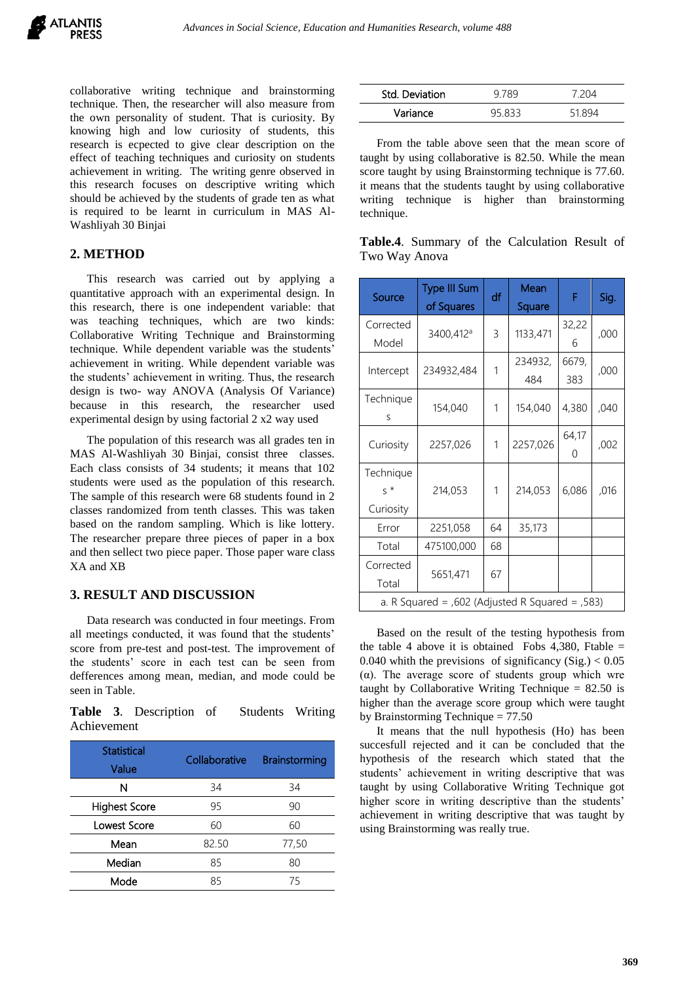collaborative writing technique and brainstorming technique. Then, the researcher will also measure from the own personality of student. That is curiosity. By knowing high and low curiosity of students, this research is ecpected to give clear description on the effect of teaching techniques and curiosity on students achievement in writing. The writing genre observed in this research focuses on descriptive writing which should be achieved by the students of grade ten as what is required to be learnt in curriculum in MAS Al-Washliyah 30 Binjai

## **2. METHOD**

This research was carried out by applying a quantitative approach with an experimental design. In this research, there is one independent variable: that was teaching techniques, which are two kinds: Collaborative Writing Technique and Brainstorming technique. While dependent variable was the students' achievement in writing. While dependent variable was the students' achievement in writing. Thus, the research design is two- way ANOVA (Analysis Of Variance) because in this research, the researcher used experimental design by using factorial 2 x2 way used

The population of this research was all grades ten in MAS Al-Washliyah 30 Binjai, consist three classes. Each class consists of 34 students; it means that 102 students were used as the population of this research. The sample of this research were 68 students found in 2 classes randomized from tenth classes. This was taken based on the random sampling. Which is like lottery. The researcher prepare three pieces of paper in a box and then sellect two piece paper. Those paper ware class XA and XB

## **3. RESULT AND DISCUSSION**

Data research was conducted in four meetings. From all meetings conducted, it was found that the students' score from pre-test and post-test. The improvement of the students' score in each test can be seen from defferences among mean, median, and mode could be seen in Table.

**Table 3**. Description of Students Writing Achievement

| <b>Statistical</b><br>Value | Collaborative | Brainstorming |
|-----------------------------|---------------|---------------|
| N                           | 34            | 34            |
| <b>Highest Score</b>        | 95            | 90            |
| Lowest Score                | 60            | 60            |
| Mean                        | 82.50         | 77,50         |
| Median                      | 85            | 80            |
| Mode                        | 85            | 75            |

| Std. Deviation |        | 7 204 |  |
|----------------|--------|-------|--|
| Variance       | ככם אנ |       |  |

From the table above seen that the mean score of taught by using collaborative is 82.50. While the mean score taught by using Brainstorming technique is 77.60. it means that the students taught by using collaborative writing technique is higher than brainstorming technique.

|               |  | Table.4. Summary of the Calculation Result of |  |
|---------------|--|-----------------------------------------------|--|
| Two Way Anova |  |                                               |  |

| Source                                               | <b>Type III Sum</b><br>of Squares | df | Mean<br>Square | F            | Sig. |
|------------------------------------------------------|-----------------------------------|----|----------------|--------------|------|
| Corrected<br>Model                                   | 3400,412 <sup>a</sup>             | 3  | 1133,471       | 32,22<br>6   | ,000 |
| Intercept                                            | 234932,484                        | 1  | 234932,<br>484 | 6679,<br>383 | ,000 |
| Technique<br>S                                       | 154,040                           | 1  | 154,040        | 4,380        | ,040 |
| Curiosity                                            | 2257,026                          | 1  | 2257,026       | 64,17<br>0   | ,002 |
| Technique<br>$\varsigma$ *<br>Curiosity              | 214,053                           | 1  | 214,053        | 6,086        | ,016 |
| Error                                                | 2251,058                          | 64 | 35,173         |              |      |
| Total                                                | 475100,000                        | 68 |                |              |      |
| Corrected<br>Total                                   | 5651,471                          | 67 |                |              |      |
| a. R Squared = $,602$ (Adjusted R Squared = $,583$ ) |                                   |    |                |              |      |

Based on the result of the testing hypothesis from the table 4 above it is obtained Fobs 4,380, Ftable  $=$ 0.040 whith the previsions of significancy  $(Sig.) < 0.05$ ( $\alpha$ ). The average score of students group which wre taught by Collaborative Writing Technique  $= 82.50$  is higher than the average score group which were taught by Brainstorming Technique = 77.50

It means that the null hypothesis (Ho) has been succesfull rejected and it can be concluded that the hypothesis of the research which stated that the students' achievement in writing descriptive that was taught by using Collaborative Writing Technique got higher score in writing descriptive than the students' achievement in writing descriptive that was taught by using Brainstorming was really true.